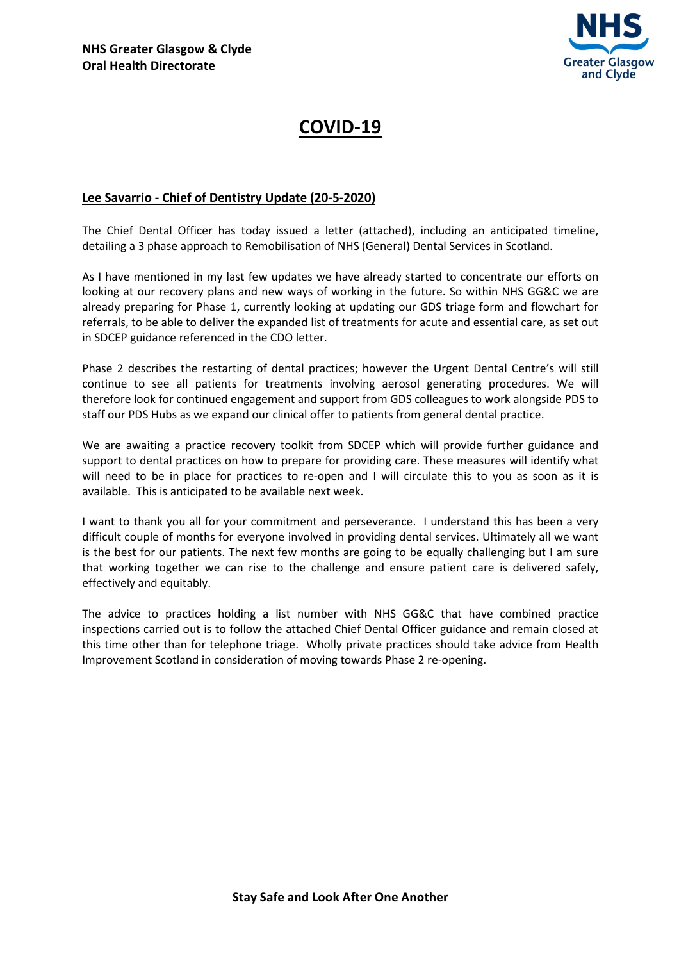

## COVID-19

## Lee Savarrio - Chief of Dentistry Update (20-5-2020)

The Chief Dental Officer has today issued a letter (attached), including an anticipated timeline, detailing a 3 phase approach to Remobilisation of NHS (General) Dental Services in Scotland.

As I have mentioned in my last few updates we have already started to concentrate our efforts on looking at our recovery plans and new ways of working in the future. So within NHS GG&C we are already preparing for Phase 1, currently looking at updating our GDS triage form and flowchart for referrals, to be able to deliver the expanded list of treatments for acute and essential care, as set out in SDCEP guidance referenced in the CDO letter.

Phase 2 describes the restarting of dental practices; however the Urgent Dental Centre's will still continue to see all patients for treatments involving aerosol generating procedures. We will therefore look for continued engagement and support from GDS colleagues to work alongside PDS to staff our PDS Hubs as we expand our clinical offer to patients from general dental practice.

We are awaiting a practice recovery toolkit from SDCEP which will provide further guidance and support to dental practices on how to prepare for providing care. These measures will identify what will need to be in place for practices to re-open and I will circulate this to you as soon as it is available. This is anticipated to be available next week.

I want to thank you all for your commitment and perseverance. I understand this has been a very difficult couple of months for everyone involved in providing dental services. Ultimately all we want is the best for our patients. The next few months are going to be equally challenging but I am sure that working together we can rise to the challenge and ensure patient care is delivered safely, effectively and equitably.

The advice to practices holding a list number with NHS GG&C that have combined practice inspections carried out is to follow the attached Chief Dental Officer guidance and remain closed at this time other than for telephone triage. Wholly private practices should take advice from Health Improvement Scotland in consideration of moving towards Phase 2 re-opening.